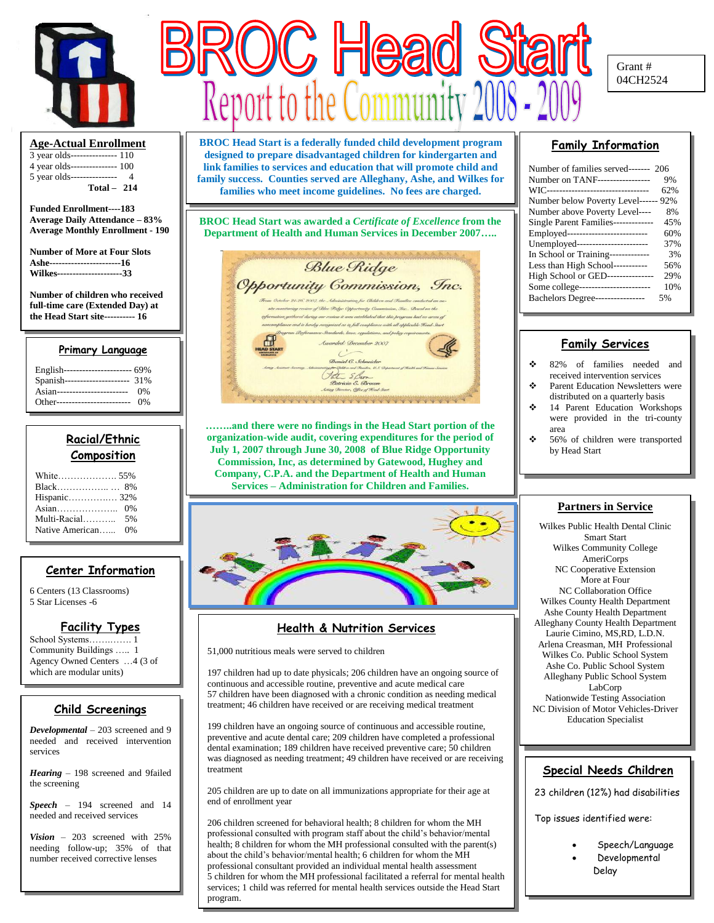

#### **Age-Actual Enrollment**

3 year olds--------------- 110 4 year olds--------------- 100 5 year olds--------------- 4  **Total – 214**

**Funded Enrollment----183 Average Daily Attendance – 83% Average Monthly Enrollment - 190**

**Number of More at Four Slots Ashe-----------------------16 Wilkes---------------------33**

**Number of children who received full-time care (Extended Day) at the Head Start site---------- 16**

#### **Primary Language**

| English---------------------- 69% |     |
|-----------------------------------|-----|
| Spanish---------------------      | 31% |
| Asian------------------------     | 0%  |
| Other-------------------------    | 0%  |

## **Racial/Ethnic Composition**

| Native American | 0% |
|-----------------|----|

## **Center Information**

6 Centers (13 Classrooms) 5 Star Licenses -6

## **Facility Types**

School Systems…….……. 1 Community Buildings ….. 1 Agency Owned Centers …4 (3 of which are modular units)

## **Child Screenings**

*Developmental* – 203 screened and 9 needed and received intervention services

*Hearing* – 198 screened and 9failed the screening

*Speech* – 194 screened and 14 needed and received services

*Vision* – 203 screened with 25% needing follow-up; 35% of that number received corrective lenses



**BROC Head Start is a federally funded child development program designed to prepare disadvantaged children for kindergarten and link families to services and education that will promote child and family success. Counties served are Alleghany, Ashe, and Wilkes for families who meet income guidelines. No fees are charged.**

**BROC Head Start was awarded a** *Certificate of Excellence* **from the Department of Health and Human Services in December 2007…..**



**……..and there were no findings in the Head Start portion of the organization-wide audit, covering expenditures for the period of July 1, 2007 through June 30, 2008 of Blue Ridge Opportunity Commission, Inc, as determined by Gatewood, Hughey and Company, C.P.A. and the Department of Health and Human Services – Administration for Children and Families.**



## **Health & Nutrition Services**

51,000 nutritious meals were served to children

197 children had up to date physicals; 206 children have an ongoing source of continuous and accessible routine, preventive and acute medical care 57 children have been diagnosed with a chronic condition as needing medical treatment; 46 children have received or are receiving medical treatment

199 children have an ongoing source of continuous and accessible routine, preventive and acute dental care; 209 children have completed a professional dental examination; 189 children have received preventive care; 50 children was diagnosed as needing treatment; 49 children have received or are receiving treatment

205 children are up to date on all immunizations appropriate for their age at end of enrollment year

1 about the child's behavior/mental health; 6 children for whom the MH 206 children screened for behavioral health; 8 children for whom the MH professional consulted with program staff about the child's behavior/mental health; 8 children for whom the MH professional consulted with the parent(s) professional consultant provided an individual mental health assessment 5 children for whom the MH professional facilitated a referral for mental health services; 1 child was referred for mental health services outside the Head Start program.

## **Family Information**

| Number of families served------- 206 |     |
|--------------------------------------|-----|
| Number on TANF-----------------      | 9%  |
| WIC--------------------------------- | 62% |
| Number below Poverty Level------ 92% |     |
| Number above Poverty Level----       | 8%  |
| Single Parent Families-------------  | 45% |
| Employed---------------------------  | 60% |
| Unemployed-----------------------    | 37% |
| In School or Training-------------   | 3%  |
| Less than High School-----------     | 56% |
| High School or GED---------------    | 29% |
| Some college------------------------ | 10% |
| Bachelors Degree-----------------    | 5%  |

## **Family Services**

- 82% of families needed and received intervention services
- **❖** Parent Education Newsletters were distributed on a quarterly basis
- $\div$  14 Parent Education Workshops were provided in the tri-county area
- 56% of children were transported by Head Start

#### **Partners in Service**

Wilkes Public Health Dental Clinic Smart Start Wilkes Community College AmeriCorps NC Cooperative Extension More at Four NC Collaboration Office Wilkes County Health Department Ashe County Health Department Alleghany County Health Department Laurie Cimino, MS,RD, L.D.N. Arlena Creasman, MH Professional Wilkes Co. Public School System Ashe Co. Public School System Alleghany Public School System LabCorp Nationwide Testing Association NC Division of Motor Vehicles-Driver Education Specialist

#### **Special Needs Children**

23 children (12%) had disabilities

Top issues identified were:

 Speech/Language Developmental Delay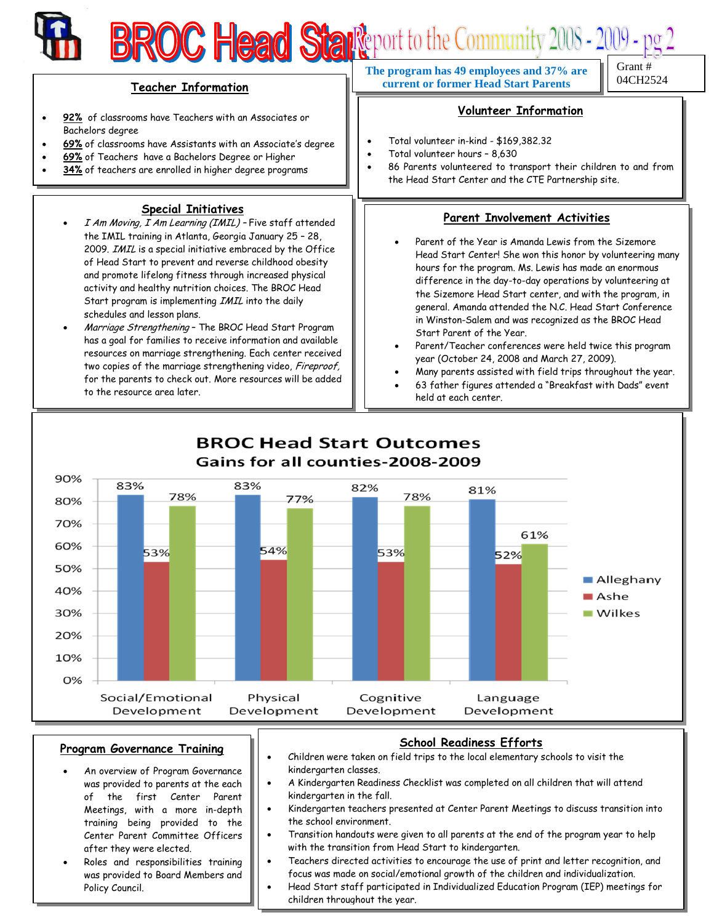## **BROC Head Start** port to the Community 2008 - 2009 - pg 2 04CH2524 **Teacher Information The program has 49 employees and 37% are current or former Head Start Parents Volunteer Information**

- **92%** of classrooms have Teachers with an Associates or Bachelors degree
- **69%** of classrooms have Assistants with an Associate's degree
- **69%** of Teachers have a Bachelors Degree or Higher
- **34%** of teachers are enrolled in higher degree programs

## **Special Initiatives**

- I Am Moving, I Am Learning (IMIL) Five staff attended the IMIL training in Atlanta, Georgia January 25 – 28, 2009. IMIL is a special initiative embraced by the Office of Head Start to prevent and reverse childhood obesity and promote lifelong fitness through increased physical activity and healthy nutrition choices. The BROC Head Start program is implementing IMIL into the daily schedules and lesson plans.
- Marriage Strengthening The BROC Head Start Program has a goal for families to receive information and available resources on marriage strengthening. Each center received two copies of the marriage strengthening video, Fireproof, for the parents to check out. More resources will be added to the resource area later.

# Total volunteer in-kind - \$169,382.32

- Total volunteer hours 8,630
- 86 Parents volunteered to transport their children to and from the Head Start Center and the CTE Partnership site.

## **Parent Involvement Activities**

- Parent of the Year is Amanda Lewis from the Sizemore Head Start Center! She won this honor by volunteering many hours for the program. Ms. Lewis has made an enormous difference in the day-to-day operations by volunteering at the Sizemore Head Start center, and with the program, in general. Amanda attended the N.C. Head Start Conference in Winston-Salem and was recognized as the BROC Head Start Parent of the Year.
- Parent/Teacher conferences were held twice this program year (October 24, 2008 and March 27, 2009).
- Many parents assisted with field trips throughout the year.
- 63 father figures attended a "Breakfast with Dads" event held at each center.



#### **Program Governance Training**

- An overview of Program Governance was provided to parents at the each of the first Center Parent Meetings, with a more in-depth training being provided to the Center Parent Committee Officers after they were elected.
- Roles and responsibilities training was provided to Board Members and Policy Council.

#### **School Readiness Efforts**

- Children were taken on field trips to the local elementary schools to visit the kindergarten classes.
- A Kindergarten Readiness Checklist was completed on all children that will attend kindergarten in the fall.
- Kindergarten teachers presented at Center Parent Meetings to discuss transition into the school environment.
- Transition handouts were given to all parents at the end of the program year to help with the transition from Head Start to kindergarten.
- **EXECUTE: THE TEACH CONSTRUCTS OF A TEACH CONSTRUCTS** of the use of print and letter recognition, and focus was made on social/emotional growth of the children and individualization.
- Head Start staff participated in Individualized Education Program (IEP) meetings for children throughout the year.